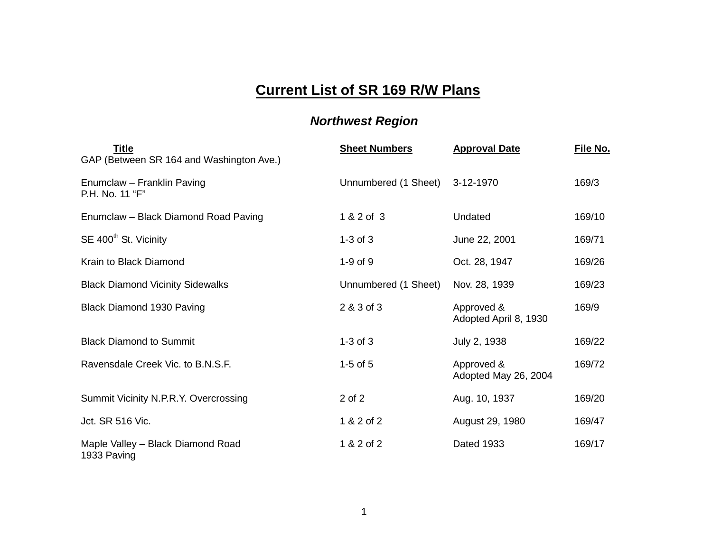## **Current List of SR 169 R/W Plans**

## *Northwest Region*

| <b>Title</b><br>GAP (Between SR 164 and Washington Ave.) | <b>Sheet Numbers</b> | <b>Approval Date</b>                | File No. |
|----------------------------------------------------------|----------------------|-------------------------------------|----------|
| Enumclaw - Franklin Paving<br>P.H. No. 11 "F"            | Unnumbered (1 Sheet) | 3-12-1970                           | 169/3    |
| Enumclaw - Black Diamond Road Paving                     | 1 & 2 of 3           | Undated                             | 169/10   |
| SE 400 <sup>th</sup> St. Vicinity                        | $1-3$ of $3$         | June 22, 2001                       | 169/71   |
| Krain to Black Diamond                                   | $1-9$ of $9$         | Oct. 28, 1947                       | 169/26   |
| <b>Black Diamond Vicinity Sidewalks</b>                  | Unnumbered (1 Sheet) | Nov. 28, 1939                       | 169/23   |
| Black Diamond 1930 Paving                                | 2 & 3 of 3           | Approved &<br>Adopted April 8, 1930 | 169/9    |
| <b>Black Diamond to Summit</b>                           | $1-3$ of $3$         | July 2, 1938                        | 169/22   |
| Ravensdale Creek Vic. to B.N.S.F.                        | $1-5$ of $5$         | Approved &<br>Adopted May 26, 2004  | 169/72   |
| Summit Vicinity N.P.R.Y. Overcrossing                    | 2 of 2               | Aug. 10, 1937                       | 169/20   |
| Jct. SR 516 Vic.                                         | 1 & 2 of 2           | August 29, 1980                     | 169/47   |
| Maple Valley - Black Diamond Road<br>1933 Paving         | 1 & 2 of 2           | <b>Dated 1933</b>                   | 169/17   |